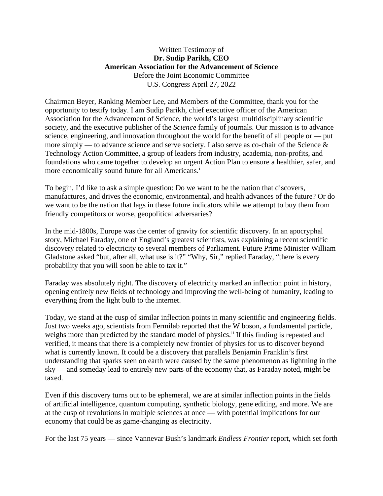### Written Testimony of **Dr. Sudip Parikh, CEO American Association for the Advancement of Science** Before the Joint Economic Committee U.S. Congress April 27, 2022

Chairman Beyer, Ranking Member Lee, and Members of the Committee, thank you for the opportunity to testify today. I am Sudip Parikh, chief executive officer of the American Association for the Advancement of Science, the world's largest multidisciplinary scientific society, and the executive publisher of the *Science* family of journals. Our mission is to advance science, engineering, and innovation throughout the world for the benefit of all people or — put more simply — to advance science and serve society. I also serve as co-chair of the Science  $\&$ Technology Action Committee, a group of leaders from industry, academia, non-profits, and foundations who came together to develop an urgent Action Plan to ensure a healthier, safer, and more econom[i](#page-9-0)cally sound future for all Americans.<sup>i</sup>

To begin, I'd like to ask a simple question: Do we want to be the nation that discovers, manufactures, and drives the economic, environmental, and health advances of the future? Or do we want to be the nation that lags in these future indicators while we attempt to buy them from friendly competitors or worse, geopolitical adversaries?

In the mid-1800s, Europe was the center of gravity for scientific discovery. In an apocryphal story, Michael Faraday, one of England's greatest scientists, was explaining a recent scientific discovery related to electricity to several members of Parliament. Future Prime Minister William Gladstone asked "but, after all, what use is it?" "Why, Sir," replied Faraday, "there is every probability that you will soon be able to tax it."

Faraday was absolutely right. The discovery of electricity marked an inflection point in history, opening entirely new fields of technology and improving the well-being of humanity, leading to everything from the light bulb to the internet.

Today, we stand at the cusp of similar inflection points in many scientific and engineering fields. Just two weeks ago, scientists from Fermilab reported that the W boson, a fundamental particle, weighs more than predicted by the standard model of physics.<sup>[ii](#page-9-1)</sup> If this finding is repeated and verified, it means that there is a completely new frontier of physics for us to discover beyond what is currently known. It could be a discovery that parallels Benjamin Franklin's first understanding that sparks seen on earth were caused by the same phenomenon as lightning in the sky — and someday lead to entirely new parts of the economy that, as Faraday noted, might be taxed.

Even if this discovery turns out to be ephemeral, we are at similar inflection points in the fields of artificial intelligence, quantum computing, synthetic biology, gene editing, and more. We are at the cusp of revolutions in multiple sciences at once — with potential implications for our economy that could be as game-changing as electricity.

For the last 75 years — since Vannevar Bush's landmark *Endless Frontier* report, which set forth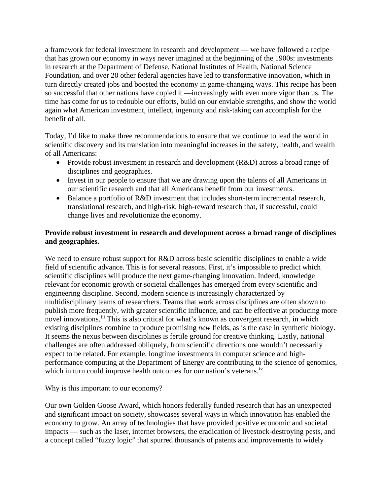a framework for federal investment in research and development — we have followed a recipe that has grown our economy in ways never imagined at the beginning of the 1900s: investments in research at the Department of Defense, National Institutes of Health, National Science Foundation, and over 20 other federal agencies have led to transformative innovation, which in turn directly created jobs and boosted the economy in game-changing ways. This recipe has been so successful that other nations have copied it —increasingly with even more vigor than us. The time has come for us to redouble our efforts, build on our enviable strengths, and show the world again what American investment, intellect, ingenuity and risk-taking can accomplish for the benefit of all.

Today, I'd like to make three recommendations to ensure that we continue to lead the world in scientific discovery and its translation into meaningful increases in the safety, health, and wealth of all Americans:

- Provide robust investment in research and development (R&D) across a broad range of disciplines and geographies.
- Invest in our people to ensure that we are drawing upon the talents of all Americans in our scientific research and that all Americans benefit from our investments.
- Balance a portfolio of R&D investment that includes short-term incremental research, translational research, and high-risk, high-reward research that, if successful, could change lives and revolutionize the economy.

# **Provide robust investment in research and development across a broad range of disciplines and geographies.**

We need to ensure robust support for R&D across basic scientific disciplines to enable a wide field of scientific advance. This is for several reasons. First, it's impossible to predict which scientific disciplines will produce the next game-changing innovation. Indeed, knowledge relevant for economic growth or societal challenges has emerged from every scientific and engineering discipline. Second, modern science is increasingly characterized by multidisciplinary teams of researchers. Teams that work across disciplines are often shown to publish more frequently, with greater scientific influence, and can be effective at producing more novel innovations.<sup>[iii](#page-9-2)</sup> This is also critical for what's known as convergent research, in which existing disciplines combine to produce promising *new* fields, as is the case in synthetic biology. It seems the nexus between disciplines is fertile ground for creative thinking. Lastly, national challenges are often addressed obliquely, from scientific directions one wouldn't necessarily expect to be related. For example, longtime investments in computer science and highperformance computing at the Department of Energy are contributing to the science of genomics, which in turn could improve health outcomes for our nation's veterans.<sup>[iv](#page-9-3)</sup>

#### Why is this important to our economy?

Our own Golden Goose Award, which honors federally funded research that has an unexpected and significant impact on society, showcases several ways in which innovation has enabled the economy to grow. An array of technologies that have provided positive economic and societal impacts — such as the laser, internet browsers, the eradication of livestock-destroying pests, and a concept called "fuzzy logic" that spurred thousands of patents and improvements to widely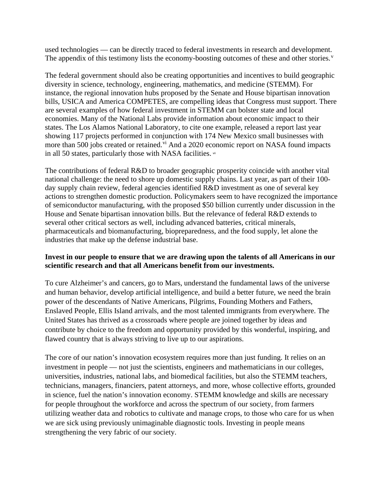used technologies — can be directly traced to federal investments in research and development. The appendix of this testimony lists the economy-boosting outcomes of these and other stories.<sup>[v](#page-9-4)</sup>

The federal government should also be creating opportunities and incentives to build geographic diversity in science, technology, engineering, mathematics, and medicine (STEMM). For instance, the regional innovation hubs proposed by the Senate and House bipartisan innovation bills, USICA and America COMPETES, are compelling ideas that Congress must support. There are several examples of how federal investment in STEMM can bolster state and local economies. Many of the National Labs provide information about economic impact to their states. The Los Alamos National Laboratory, to cite one example, released a report last year showing 117 projects performed in conjunction with 174 New Mexico small businesses with more than 500 jobs created or retained.<sup>[vi](#page-9-5)</sup> And a 2020 economic report on NASA found impacts in all 50 states, particularly those with NASA facilities. [vii](#page-9-6)

The contributions of federal R&D to broader geographic prosperity coincide with another vital national challenge: the need to shore up domestic supply chains. Last year, as part of their 100 day supply chain review, federal agencies identified R&D investment as one of several key actions to strengthen domestic production. Policymakers seem to have recognized the importance of semiconductor manufacturing, with the proposed \$50 billion currently under discussion in the House and Senate bipartisan innovation bills. But the relevance of federal R&D extends to several other critical sectors as well, including advanced batteries, critical minerals, pharmaceuticals and biomanufacturing, biopreparedness, and the food supply, let alone the industries that make up the defense industrial base.

#### **Invest in our people to ensure that we are drawing upon the talents of all Americans in our scientific research and that all Americans benefit from our investments.**

To cure Alzheimer's and cancers, go to Mars, understand the fundamental laws of the universe and human behavior, develop artificial intelligence, and build a better future, we need the brain power of the descendants of Native Americans, Pilgrims, Founding Mothers and Fathers, Enslaved People, Ellis Island arrivals, and the most talented immigrants from everywhere. The United States has thrived as a crossroads where people are joined together by ideas and contribute by choice to the freedom and opportunity provided by this wonderful, inspiring, and flawed country that is always striving to live up to our aspirations.

The core of our nation's innovation ecosystem requires more than just funding. It relies on an investment in people — not just the scientists, engineers and mathematicians in our colleges, universities, industries, national labs, and biomedical facilities, but also the STEMM teachers, technicians, managers, financiers, patent attorneys, and more, whose collective efforts, grounded in science, fuel the nation's innovation economy. STEMM knowledge and skills are necessary for people throughout the workforce and across the spectrum of our society, from farmers utilizing weather data and robotics to cultivate and manage crops, to those who care for us when we are sick using previously unimaginable diagnostic tools. Investing in people means strengthening the very fabric of our society.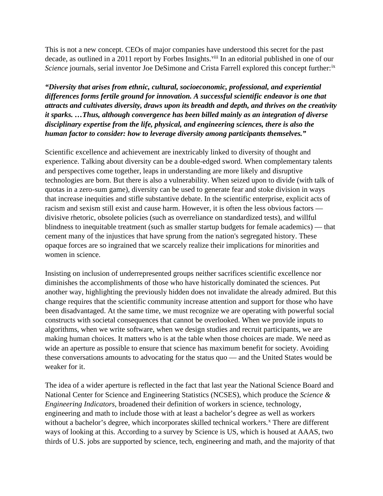This is not a new concept. CEOs of major companies have understood this secret for the past decade, as outlined in a 2011 report by Forbes Insights.<sup>[viii](#page-9-7)</sup> In an editorial published in one of our Science journals, serial inventor Joe DeSimone and Crista Farrell explored this concept further:<sup>[ix](#page-9-8)</sup>

*"Diversity that arises from ethnic, cultural, socioeconomic, professional, and experiential differences forms fertile ground for innovation. A successful scientific endeavor is one that attracts and cultivates diversity, draws upon its breadth and depth, and thrives on the creativity it sparks. …Thus, although convergence has been billed mainly as an integration of diverse disciplinary expertise from the life, physical, and engineering sciences, there is also the human factor to consider: how to leverage diversity among participants themselves."* 

Scientific excellence and achievement are inextricably linked to diversity of thought and experience. Talking about diversity can be a double-edged sword. When complementary talents and perspectives come together, leaps in understanding are more likely and disruptive technologies are born. But there is also a vulnerability. When seized upon to divide (with talk of quotas in a zero-sum game), diversity can be used to generate fear and stoke division in ways that increase inequities and stifle substantive debate. In the scientific enterprise, explicit acts of racism and sexism still exist and cause harm. However, it is often the less obvious factors divisive rhetoric, obsolete policies (such as overreliance on standardized tests), and willful blindness to inequitable treatment (such as smaller startup budgets for female academics) — that cement many of the injustices that have sprung from the nation's segregated history. These opaque forces are so ingrained that we scarcely realize their implications for minorities and women in science.

Insisting on inclusion of underrepresented groups neither sacrifices scientific excellence nor diminishes the accomplishments of those who have historically dominated the sciences. Put another way, highlighting the previously hidden does not invalidate the already admired. But this change requires that the scientific community increase attention and support for those who have been disadvantaged. At the same time, we must recognize we are operating with powerful social constructs with societal consequences that cannot be overlooked. When we provide inputs to algorithms, when we write software, when we design studies and recruit participants, we are making human choices. It matters who is at the table when those choices are made. We need as wide an aperture as possible to ensure that science has maximum benefit for society. Avoiding these conversations amounts to advocating for the status quo — and the United States would be weaker for it.

The idea of a wider aperture is reflected in the fact that last year the National Science Board and National Center for Science and Engineering Statistics (NCSES), which produce the *Science & Engineering Indicators*, broadened their definition of workers in science, technology, engineering and math to include those with at least a bachelor's degree as well as workers without a bachelor's degree, which incorporates skilled technical workers.<sup>[x](#page-9-9)</sup> There are different ways of looking at this. According to a survey by Science is US, which is housed at AAAS, two thirds of U.S. jobs are supported by science, tech, engineering and math, and the majority of that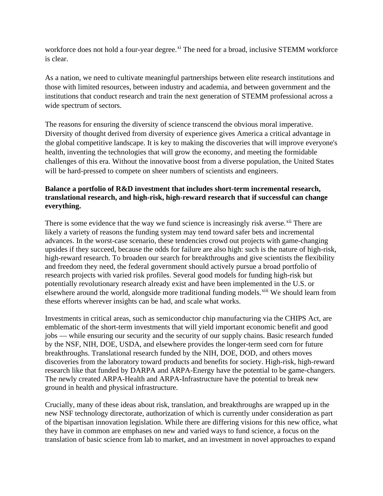workforce does not hold a four-year degree.<sup>[xi](#page-9-10)</sup> The need for a broad, inclusive STEMM workforce is clear.

As a nation, we need to cultivate meaningful partnerships between elite research institutions and those with limited resources, between industry and academia, and between government and the institutions that conduct research and train the next generation of STEMM professional across a wide spectrum of sectors.

The reasons for ensuring the diversity of science transcend the obvious moral imperative. Diversity of thought derived from diversity of experience gives America a critical advantage in the global competitive landscape. It is key to making the discoveries that will improve everyone's health, inventing the technologies that will grow the economy, and meeting the formidable challenges of this era. Without the innovative boost from a diverse population, the United States will be hard-pressed to compete on sheer numbers of scientists and engineers.

# **Balance a portfolio of R&D investment that includes short-term incremental research, translational research, and high-risk, high-reward research that if successful can change everything.**

There is some evidence that the way we fund science is increasingly risk averse.<sup>[xii](#page-9-11)</sup> There are likely a variety of reasons the funding system may tend toward safer bets and incremental advances. In the worst-case scenario, these tendencies crowd out projects with game-changing upsides if they succeed, because the odds for failure are also high: such is the nature of high-risk, high-reward research. To broaden our search for breakthroughs and give scientists the flexibility and freedom they need, the federal government should actively pursue a broad portfolio of research projects with varied risk profiles. Several good models for funding high-risk but potentially revolutionary research already exist and have been implemented in the U.S. or elsewhere around the world, alongside more traditional funding models.<sup>[xiii](#page-9-12)</sup> We should learn from these efforts wherever insights can be had, and scale what works.

Investments in critical areas, such as semiconductor chip manufacturing via the CHIPS Act, are emblematic of the short-term investments that will yield important economic benefit and good jobs — while ensuring our security and the security of our supply chains. Basic research funded by the NSF, NIH, DOE, USDA, and elsewhere provides the longer-term seed corn for future breakthroughs. Translational research funded by the NIH, DOE, DOD, and others moves discoveries from the laboratory toward products and benefits for society. High-risk, high-reward research like that funded by DARPA and ARPA-Energy have the potential to be game-changers. The newly created ARPA-Health and ARPA-Infrastructure have the potential to break new ground in health and physical infrastructure.

Crucially, many of these ideas about risk, translation, and breakthroughs are wrapped up in the new NSF technology directorate, authorization of which is currently under consideration as part of the bipartisan innovation legislation. While there are differing visions for this new office, what they have in common are emphases on new and varied ways to fund science, a focus on the translation of basic science from lab to market, and an investment in novel approaches to expand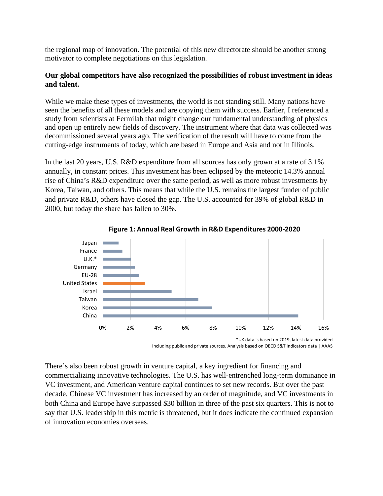the regional map of innovation. The potential of this new directorate should be another strong motivator to complete negotiations on this legislation.

### **Our global competitors have also recognized the possibilities of robust investment in ideas and talent.**

While we make these types of investments, the world is not standing still. Many nations have seen the benefits of all these models and are copying them with success. Earlier, I referenced a study from scientists at Fermilab that might change our fundamental understanding of physics and open up entirely new fields of discovery. The instrument where that data was collected was decommissioned several years ago. The verification of the result will have to come from the cutting-edge instruments of today, which are based in Europe and Asia and not in Illinois.

In the last 20 years, U.S. R&D expenditure from all sources has only grown at a rate of 3.1% annually, in constant prices. This investment has been eclipsed by the meteoric 14.3% annual rise of China's R&D expenditure over the same period, as well as more robust investments by Korea, Taiwan, and others. This means that while the U.S. remains the largest funder of public and private R&D, others have closed the gap. The U.S. accounted for 39% of global R&D in 2000, but today the share has fallen to 30%.



**Figure 1: Annual Real Growth in R&D Expenditures 2000-2020**

Including public and private sources. Analysis based on OECD S&T Indicators data | AAAS

There's also been robust growth in venture capital, a key ingredient for financing and commercializing innovative technologies. The U.S. has well-entrenched long-term dominance in VC investment, and American venture capital continues to set new records. But over the past decade, Chinese VC investment has increased by an order of magnitude, and VC investments in both China and Europe have surpassed \$30 billion in three of the past six quarters. This is not to say that U.S. leadership in this metric is threatened, but it does indicate the continued expansion of innovation economies overseas.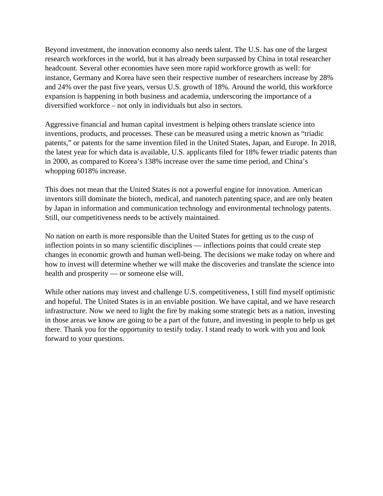Beyond investment, the innovation economy also needs talent. The U.S. has one of the largest research workforces in the world, but it has already been surpassed by China in total researcher headcount. Several other economies have seen more rapid workforce growth as well: for instance, Germany and Korea have seen their respective number of researchers increase by 28% and 24% over the past five years, versus U.S. growth of 18%. Around the world, this workforce expansion is happening in both business and academia, underscoring the importance of a diversified workforce – not only in individuals but also in sectors.

Aggressive financial and human capital investment is helping others translate science into inventions, products, and processes. These can be measured using a metric known as "triadic patents," or patents for the same invention filed in the United States, Japan, and Europe. In 2018, the latest year for which data is available, U.S. applicants filed for 18% fewer triadic patents than in 2000, as compared to Korea's 138% increase over the same time period, and China's whopping 6018% increase.

This does not mean that the United States is not a powerful engine for innovation. American inventors still dominate the biotech, medical, and nanotech patenting space, and are only beaten by Japan in information and communication technology and environmental technology patents. Still, our competitiveness needs to be actively maintained.

No nation on earth is more responsible than the United States for getting us to the cusp of inflection points in so many scientific disciplines — inflections points that could create step changes in economic growth and human well-being. The decisions we make today on where and how to invest will determine whether we will make the discoveries and translate the science into health and prosperity — or someone else will.

While other nations may invest and challenge U.S. competitiveness, I still find myself optimistic and hopeful. The United States is in an enviable position. We have capital, and we have research infrastructure. Now we need to light the fire by making some strategic bets as a nation, investing in those areas we know are going to be a part of the future, and investing in people to help us get there. Thank you for the opportunity to testify today. I stand ready to work with you and look forward to your questions.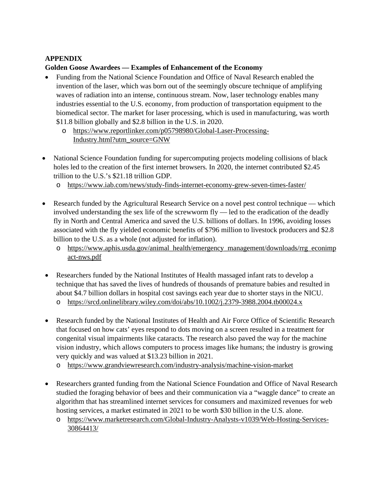## **APPENDIX**

## **Golden Goose Awardees — Examples of Enhancement of the Economy**

- Funding from the National Science Foundation and Office of Naval Research enabled the invention of the laser, which was born out of the seemingly obscure technique of amplifying waves of radiation into an intense, continuous stream. Now, laser technology enables many industries essential to the U.S. economy, from production of transportation equipment to the biomedical sector. The market for laser processing, which is used in manufacturing, was worth \$11.8 billion globally and \$2.8 billion in the U.S. in 2020.
	- o [https://www.reportlinker.com/p05798980/Global-Laser-Processing-](https://www.reportlinker.com/p05798980/Global-Laser-Processing-Industry.html?utm_source=GNW)[Industry.html?utm\\_source=GNW](https://www.reportlinker.com/p05798980/Global-Laser-Processing-Industry.html?utm_source=GNW)
- National Science Foundation funding for supercomputing projects modeling collisions of black holes led to the creation of the first internet browsers. In 2020, the internet contributed \$2.45 trillion to the U.S.'s \$21.18 trillion GDP.
	- o <https://www.iab.com/news/study-finds-internet-economy-grew-seven-times-faster/>
- Research funded by the Agricultural Research Service on a novel pest control technique which involved understanding the sex life of the screwworm fly — led to the eradication of the deadly fly in North and Central America and saved the U.S. billions of dollars. In 1996, avoiding losses associated with the fly yielded economic benefits of \$796 million to livestock producers and \$2.8 billion to the U.S. as a whole (not adjusted for inflation).
	- o [https://www.aphis.usda.gov/animal\\_health/emergency\\_management/downloads/rrg\\_econimp](https://www.aphis.usda.gov/animal_health/emergency_management/downloads/rrg_econimpact-nws.pdf) [act-nws.pdf](https://www.aphis.usda.gov/animal_health/emergency_management/downloads/rrg_econimpact-nws.pdf)
- Researchers funded by the National Institutes of Health massaged infant rats to develop a technique that has saved the lives of hundreds of thousands of premature babies and resulted in about \$4.7 billion dollars in hospital cost savings each year due to shorter stays in the NICU.
	- o <https://srcd.onlinelibrary.wiley.com/doi/abs/10.1002/j.2379-3988.2004.tb00024.x>
- Research funded by the National Institutes of Health and Air Force Office of Scientific Research that focused on how cats' eyes respond to dots moving on a screen resulted in a treatment for congenital visual impairments like cataracts. The research also paved the way for the machine vision industry, which allows computers to process images like humans; the industry is growing very quickly and was valued at \$13.23 billion in 2021.
	- o <https://www.grandviewresearch.com/industry-analysis/machine-vision-market>
- Researchers granted funding from the National Science Foundation and Office of Naval Research studied the foraging behavior of bees and their communication via a "waggle dance" to create an algorithm that has streamlined internet services for consumers and maximized revenues for web hosting services, a market estimated in 2021 to be worth \$30 billion in the U.S. alone.
	- o [https://www.marketresearch.com/Global-Industry-Analysts-v1039/Web-Hosting-Services-](https://www.marketresearch.com/Global-Industry-Analysts-v1039/Web-Hosting-Services-30864413/)[30864413/](https://www.marketresearch.com/Global-Industry-Analysts-v1039/Web-Hosting-Services-30864413/)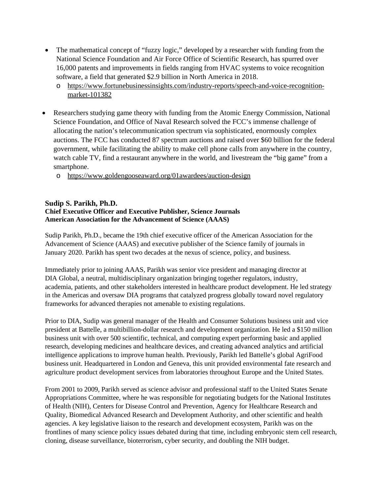- The mathematical concept of "fuzzy logic," developed by a researcher with funding from the National Science Foundation and Air Force Office of Scientific Research, has spurred over 16,000 patents and improvements in fields ranging from HVAC systems to voice recognition software, a field that generated \$2.9 billion in North America in 2018.
	- o [https://www.fortunebusinessinsights.com/industry-reports/speech-and-voice-recognition](https://www.fortunebusinessinsights.com/industry-reports/speech-and-voice-recognition-market-101382)[market-101382](https://www.fortunebusinessinsights.com/industry-reports/speech-and-voice-recognition-market-101382)
- Researchers studying game theory with funding from the Atomic Energy Commission, National Science Foundation, and Office of Naval Research solved the FCC's immense challenge of allocating the nation's telecommunication spectrum via sophisticated, enormously complex auctions. The FCC has conducted 87 spectrum auctions and raised over \$60 billion for the federal government, while facilitating the ability to make cell phone calls from anywhere in the country, watch cable TV, find a restaurant anywhere in the world, and livestream the "big game" from a smartphone.
	- o <https://www.goldengooseaward.org/01awardees/auction-design>

#### **Sudip S. Parikh, Ph.D. Chief Executive Officer and Executive Publisher, Science Journals American Association for the Advancement of Science (AAAS)**

Sudip Parikh, Ph.D., became the 19th chief executive officer of the American Association for the Advancement of Science (AAAS) and executive publisher of the Science family of journals in January 2020. Parikh has spent two decades at the nexus of science, policy, and business.

Immediately prior to joining AAAS, Parikh was senior vice president and managing director at DIA Global, a neutral, multidisciplinary organization bringing together regulators, industry, academia, patients, and other stakeholders interested in healthcare product development. He led strategy in the Americas and oversaw DIA programs that catalyzed progress globally toward novel regulatory frameworks for advanced therapies not amenable to existing regulations.

Prior to DIA, Sudip was general manager of the Health and Consumer Solutions business unit and vice president at Battelle, a multibillion-dollar research and development organization. He led a \$150 million business unit with over 500 scientific, technical, and computing expert performing basic and applied research, developing medicines and healthcare devices, and creating advanced analytics and artificial intelligence applications to improve human health. Previously, Parikh led Battelle's global AgriFood business unit. Headquartered in London and Geneva, this unit provided environmental fate research and agriculture product development services from laboratories throughout Europe and the United States.

From 2001 to 2009, Parikh served as science advisor and professional staff to the United States Senate Appropriations Committee, where he was responsible for negotiating budgets for the National Institutes of Health (NIH), Centers for Disease Control and Prevention, Agency for Healthcare Research and Quality, Biomedical Advanced Research and Development Authority, and other scientific and health agencies. A key legislative liaison to the research and development ecosystem, Parikh was on the frontlines of many science policy issues debated during that time, including embryonic stem cell research, cloning, disease surveillance, bioterrorism, cyber security, and doubling the NIH budget.